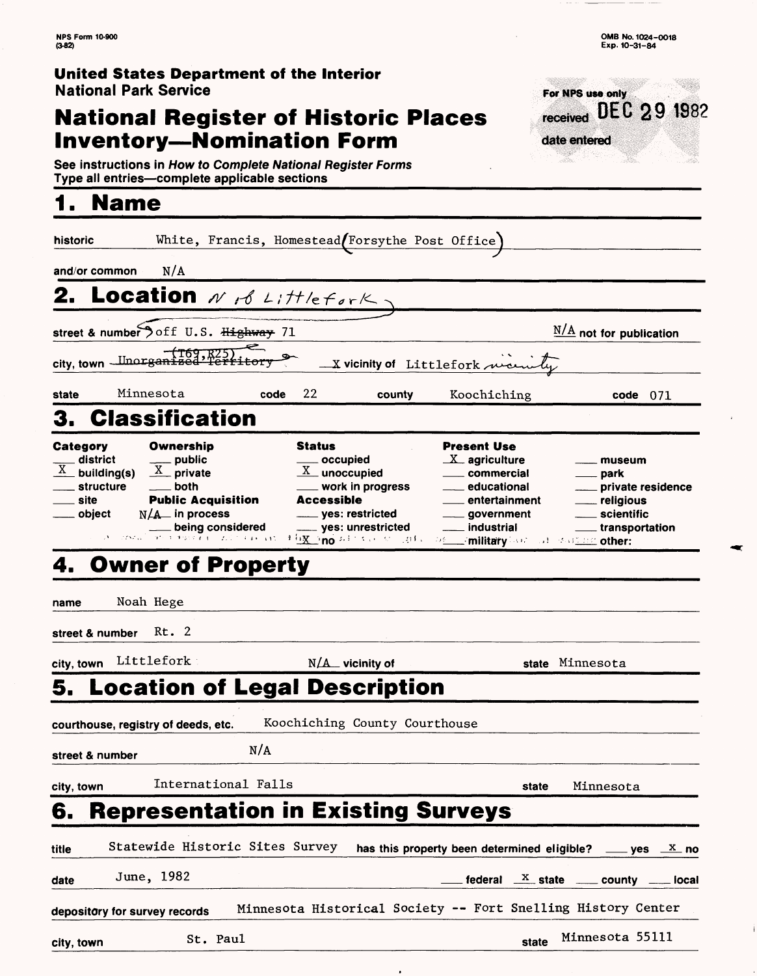received DEC 29 1982

For NPS use only

date entered

W

### **United States Department of the Interior** National Park Service

### **National Register of Historic Places Inventory—Nomination Form**

**See instructions in How to Complete National Register Forms Type all entries—complete applicable sections\_\_\_\_\_\_\_\_\_\_\_\_\_\_\_\_**

# **1. Name**

| historic                                                                                          |                                                                                                                                                                                                                    | White, Francis, Homestead/Forsythe Post Office)                                                                                                                                    |                                                                                                                                                                                                   |                                                                                                                 |
|---------------------------------------------------------------------------------------------------|--------------------------------------------------------------------------------------------------------------------------------------------------------------------------------------------------------------------|------------------------------------------------------------------------------------------------------------------------------------------------------------------------------------|---------------------------------------------------------------------------------------------------------------------------------------------------------------------------------------------------|-----------------------------------------------------------------------------------------------------------------|
| N/A<br>and/or common                                                                              |                                                                                                                                                                                                                    |                                                                                                                                                                                    |                                                                                                                                                                                                   |                                                                                                                 |
| 2. Location N & Littlefork.                                                                       |                                                                                                                                                                                                                    |                                                                                                                                                                                    |                                                                                                                                                                                                   |                                                                                                                 |
| street & number off U.S. Highway 71                                                               |                                                                                                                                                                                                                    |                                                                                                                                                                                    |                                                                                                                                                                                                   | $\frac{N/A}{A}$ not for publication                                                                             |
| city, town <u>Unorgan</u>                                                                         |                                                                                                                                                                                                                    |                                                                                                                                                                                    | X vicinity of Littlefork ween                                                                                                                                                                     |                                                                                                                 |
| Minnesota<br>state                                                                                | code                                                                                                                                                                                                               | 22<br>county                                                                                                                                                                       | Koochiching                                                                                                                                                                                       | $code \quad 071$                                                                                                |
| <b>Classification</b>                                                                             |                                                                                                                                                                                                                    |                                                                                                                                                                                    |                                                                                                                                                                                                   |                                                                                                                 |
| Category<br>. district<br>$\frac{X}{X}$ building(s)<br>structure<br>_ site<br><sub>—</sub> object | Ownership<br>___ public<br>$\underline{X}$ private<br>both<br><b>Public Acquisition</b><br>$N/A$ in process<br>being considered<br>and a described by $\overline{L}(1) = \overline{L}(1) \cap \overline{L}(1)$ and | Status<br>____ occupied<br>$\underline{X}$ unoccupied<br>$\_$ work in progress<br>Accessible<br>____ yes: restricted<br><sub>-----</sub> yes: unrestricted<br>大行文 _ no ちょうちゃくいうおもい | Present Use<br>$X$ agriculture<br><u>__</u> __ commercial<br><sub>——</sub> educational<br>entertainment<br><u>qovernment</u><br>___ industrial<br><b>DELL military hours and statement other:</b> | museum<br>____ park<br>___ private residence<br><u>_</u> __ religious<br>____ scientific<br>____ transportation |
| 4. Owner of Property                                                                              |                                                                                                                                                                                                                    |                                                                                                                                                                                    |                                                                                                                                                                                                   |                                                                                                                 |
| Noah Hege<br>name                                                                                 |                                                                                                                                                                                                                    |                                                                                                                                                                                    |                                                                                                                                                                                                   |                                                                                                                 |
| Rt. 2<br>street & number                                                                          |                                                                                                                                                                                                                    |                                                                                                                                                                                    |                                                                                                                                                                                                   |                                                                                                                 |
| Littlefork<br>city, town                                                                          |                                                                                                                                                                                                                    | $N/A$ vicinity of                                                                                                                                                                  |                                                                                                                                                                                                   | state Minnesota                                                                                                 |
|                                                                                                   |                                                                                                                                                                                                                    | 5. Location of Legal Description                                                                                                                                                   |                                                                                                                                                                                                   |                                                                                                                 |
| courthouse, registry of deeds, etc.                                                               |                                                                                                                                                                                                                    | Koochiching County Courthouse                                                                                                                                                      |                                                                                                                                                                                                   |                                                                                                                 |
| street & number                                                                                   | N/A                                                                                                                                                                                                                |                                                                                                                                                                                    |                                                                                                                                                                                                   |                                                                                                                 |
| city, town                                                                                        | International Falls                                                                                                                                                                                                |                                                                                                                                                                                    | state                                                                                                                                                                                             | Minnesota                                                                                                       |
| 6.                                                                                                |                                                                                                                                                                                                                    | <b>Representation in Existing Surveys</b>                                                                                                                                          |                                                                                                                                                                                                   |                                                                                                                 |
| title                                                                                             | Statewide Historic Sites Survey                                                                                                                                                                                    |                                                                                                                                                                                    | has this property been determined eligible? ____ yes $\mathbb{X}$ no                                                                                                                              |                                                                                                                 |
| June, 1982<br>date                                                                                |                                                                                                                                                                                                                    |                                                                                                                                                                                    |                                                                                                                                                                                                   | federal $X$ state $\frac{1}{2}$ county $\frac{1}{2}$ local                                                      |
| depository for survey records                                                                     |                                                                                                                                                                                                                    |                                                                                                                                                                                    | Minnesota Historical Society -- Fort Snelling History Center                                                                                                                                      |                                                                                                                 |
| city, town                                                                                        | St. Paul                                                                                                                                                                                                           |                                                                                                                                                                                    | state                                                                                                                                                                                             | Minnesota 55111                                                                                                 |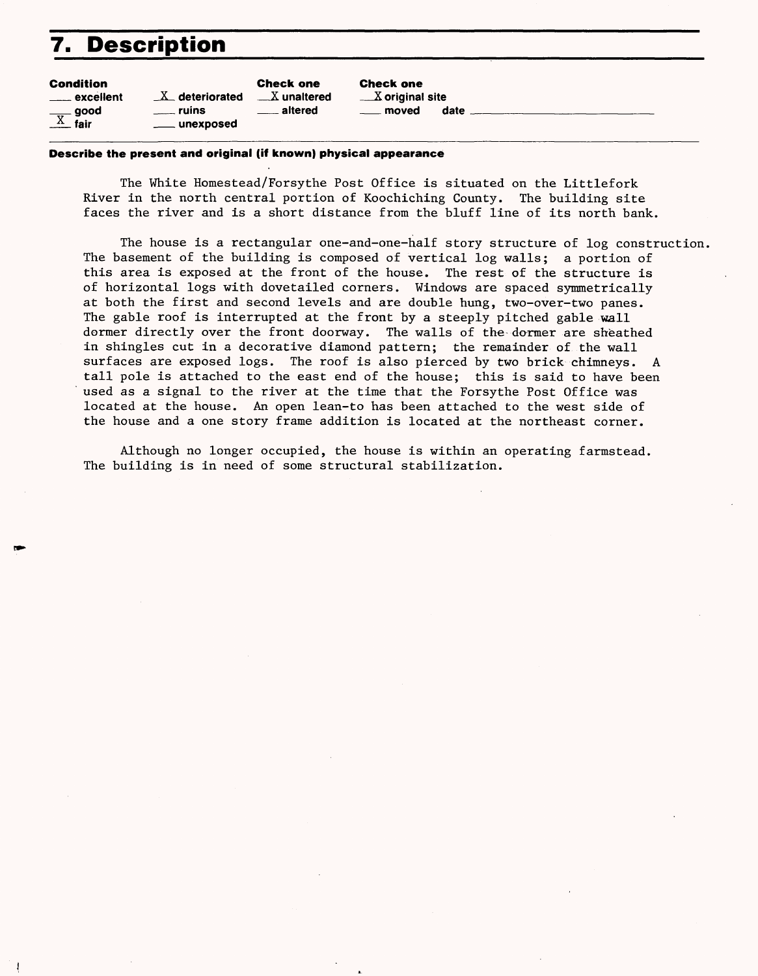### **7. Description**

| <b>Condition</b>   |                        | <b>Check one</b>     | <b>Check one</b>  |   |
|--------------------|------------------------|----------------------|-------------------|---|
| $\equiv$ excellent | $X_{-}$ deteriorated   | $\sqrt{X}$ unaltered | $X$ original site |   |
| $\frac{X}{X}$ fair | <u>sa ruins</u>        | <u>__</u> __ altered | <u>_</u> __ moved | O |
|                    | <u>_</u> ___ unexposed |                      |                   |   |

#### **Describe the present and original (if known) physical appearance**

The White Homestead/Forsythe Post Office is situated on the Littlefork River in the north central portion of Koochiching County. The building site faces the river and is a short distance from the bluff line of its north bank.

date \_

The house is a rectangular one-and-one-half story structure of log construction. The basement of the building is composed of vertical log walls; a portion of this area is exposed at the front of the house. The rest of the structure is of horizontal logs with dovetailed corners. Windows are spaced symmetrically at both the first and second levels and are double hung, two-over-two panes. The gable roof is interrupted at the front by a steeply pitched gable wall dormer directly over the front doorway. The walls of the dormer are sheathed in shingles cut in a decorative diamond pattern; the remainder of the wall surfaces are exposed logs. The roof is also pierced by two brick chimneys. A tall pole is attached to the east end of the house; this is said to have been used as a signal to the river at the time that the Forsythe Post Office was located at the house. An open lean-to has been attached to the west side of the house and a one story frame addition is located at the northeast corner.

Although no longer occupied, the house is within an operating farmstead. The building is in need of some structural stabilization.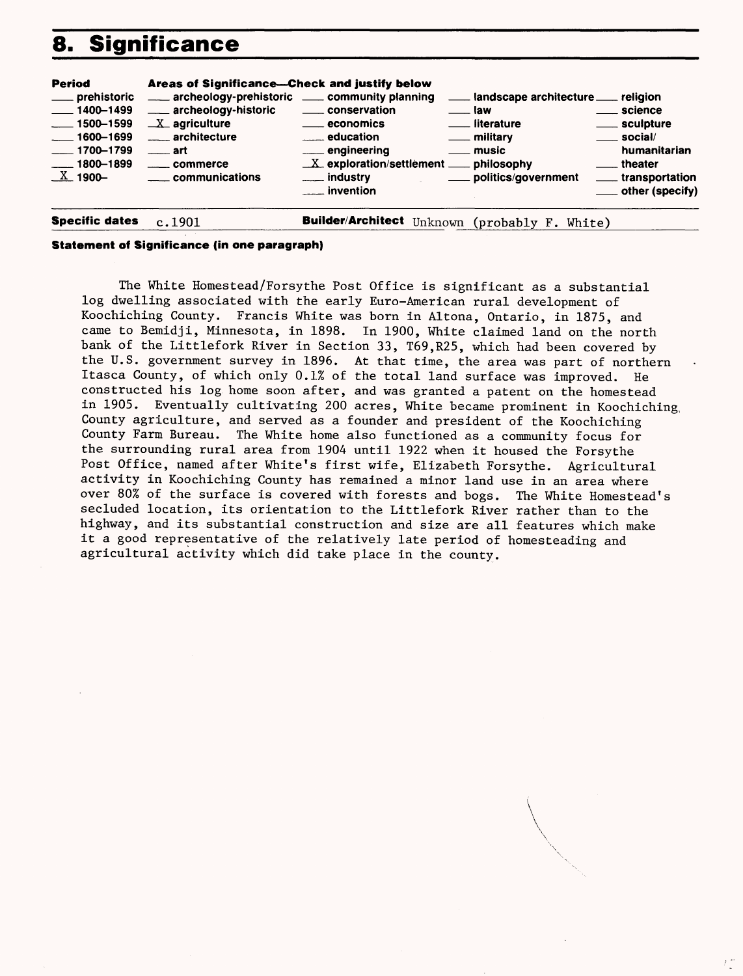## **8. Significance**

| <b>Period</b><br>___ prehistoric<br>$-1400 - 1499$<br>$\frac{1}{2}$ 1500–1599<br>$-1600 - 1699$<br>$-1700 - 1799$<br>$\frac{1}{2}$ 1800–1899<br>$\underline{X}$ 1900- | Areas of Significance-Check and justify below<br>archeology-prehistoric ______ community planning<br>___ archeology-historic<br>$X$ agriculture<br>____ architecture<br>$\equiv$ art<br><u>_</u> ___ communications | _____ conservation<br><u>_</u> ___ economics<br><u>__</u> ___ education<br>___ engineering<br>$X$ exploration/settlement $x$ philosophy<br>___ industry<br><u>__</u> __ invention | ___ landscape architecture ___ religion<br><u>____</u> law<br><u>_</u> __ literature<br><u>_</u> __ military<br><u>_</u> music<br>____ politics/government | ____ science<br>____ sculpture<br>$\rule{1em}{0.15mm}$ social/<br>humanitarian<br><u>__</u> theater<br>____ transportation<br>____ other (specify) |
|-----------------------------------------------------------------------------------------------------------------------------------------------------------------------|---------------------------------------------------------------------------------------------------------------------------------------------------------------------------------------------------------------------|-----------------------------------------------------------------------------------------------------------------------------------------------------------------------------------|------------------------------------------------------------------------------------------------------------------------------------------------------------|----------------------------------------------------------------------------------------------------------------------------------------------------|
| <b>Specific dates</b>                                                                                                                                                 | c.1901                                                                                                                                                                                                              | Builder/Architect Unknown (probably F. White)                                                                                                                                     |                                                                                                                                                            |                                                                                                                                                    |

#### **Statement of Significance (in one paragraph)**

The White Homestead/Forsythe Post Office is significant as a substantial log dwelling associated with the early Euro-American rural development of Koochiching County. Francis White was born in Altona, Ontario, in 1875, and came to Bemidji, Minnesota, in 1898. In 1900, White claimed land on the north bank of the Littlefork River in Section 33, T69,R25, which had been covered by the U.S. government survey in 1896. At that time, the area was part of northern Itasca County, of which only 0.1% of the total land surface was improved. He constructed his log home soon after, and was granted a patent on the homestead in 1905. Eventually cultivating 200 acres, White became prominent in Koochiching, County agriculture, and served as a founder and president of the Koochiching County Farm Bureau. The White home also functioned as a community focus for the surrounding rural area from 1904 until 1922 when it housed the Forsythe Post Office, named after White's first wife, Elizabeth Forsythe. Agricultural activity in Koochiching County has remained a minor land use in an area where over 80% of the surface is covered with forests and bogs. The White Homestead's secluded location, its orientation to the Littlefork River rather than to the highway, and its substantial construction and size are all features which make it a good representative of the relatively late period of homesteading and agricultural activity which did take place in the county.